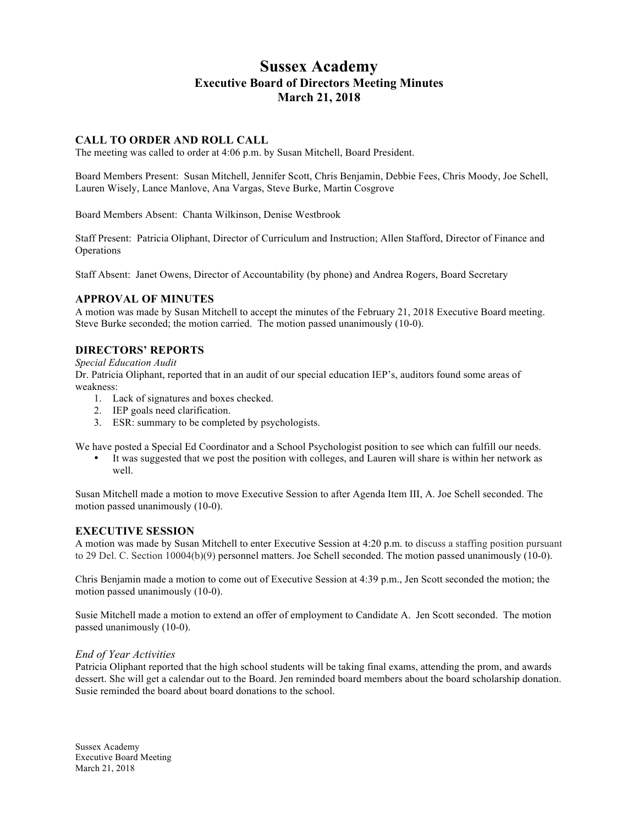# **Sussex Academy Executive Board of Directors Meeting Minutes March 21, 2018**

#### **CALL TO ORDER AND ROLL CALL**

The meeting was called to order at 4:06 p.m. by Susan Mitchell, Board President.

Board Members Present: Susan Mitchell, Jennifer Scott, Chris Benjamin, Debbie Fees, Chris Moody, Joe Schell, Lauren Wisely, Lance Manlove, Ana Vargas, Steve Burke, Martin Cosgrove

Board Members Absent: Chanta Wilkinson, Denise Westbrook

Staff Present: Patricia Oliphant, Director of Curriculum and Instruction; Allen Stafford, Director of Finance and **Operations** 

Staff Absent: Janet Owens, Director of Accountability (by phone) and Andrea Rogers, Board Secretary

#### **APPROVAL OF MINUTES**

A motion was made by Susan Mitchell to accept the minutes of the February 21, 2018 Executive Board meeting. Steve Burke seconded; the motion carried. The motion passed unanimously (10-0).

#### **DIRECTORS' REPORTS**

*Special Education Audit*

Dr. Patricia Oliphant, reported that in an audit of our special education IEP's, auditors found some areas of weakness:

- 1. Lack of signatures and boxes checked.
- 2. IEP goals need clarification.
- 3. ESR: summary to be completed by psychologists.

We have posted a Special Ed Coordinator and a School Psychologist position to see which can fulfill our needs.

It was suggested that we post the position with colleges, and Lauren will share is within her network as well.

Susan Mitchell made a motion to move Executive Session to after Agenda Item III, A. Joe Schell seconded. The motion passed unanimously (10-0).

#### **EXECUTIVE SESSION**

A motion was made by Susan Mitchell to enter Executive Session at 4:20 p.m. to discuss a staffing position pursuant to 29 Del. C. Section 10004(b)(9) personnel matters. Joe Schell seconded. The motion passed unanimously (10-0).

Chris Benjamin made a motion to come out of Executive Session at 4:39 p.m., Jen Scott seconded the motion; the motion passed unanimously (10-0).

Susie Mitchell made a motion to extend an offer of employment to Candidate A. Jen Scott seconded. The motion passed unanimously (10-0).

#### *End of Year Activities*

Patricia Oliphant reported that the high school students will be taking final exams, attending the prom, and awards dessert. She will get a calendar out to the Board. Jen reminded board members about the board scholarship donation. Susie reminded the board about board donations to the school.

Sussex Academy Executive Board Meeting March 21, 2018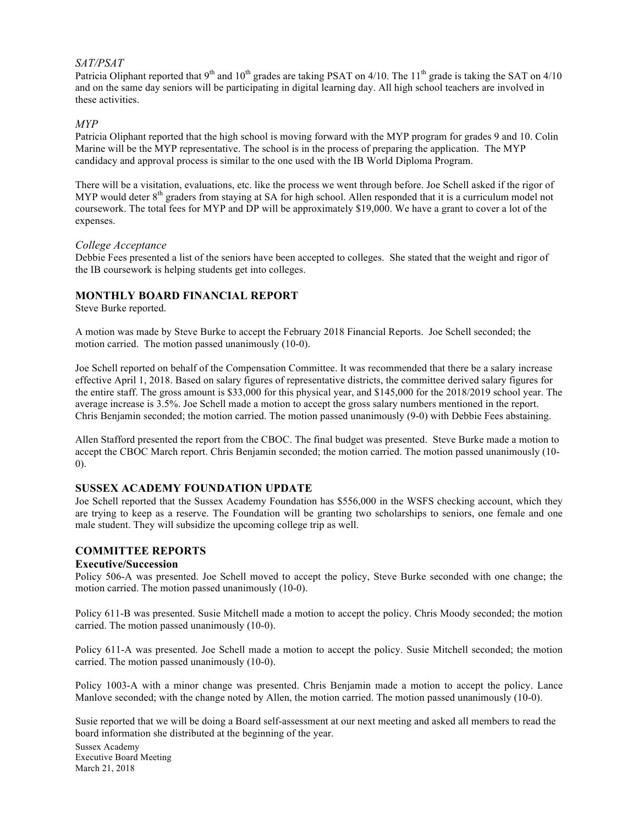#### *SAT/PSAT*

Patricia Oliphant reported that 9<sup>th</sup> and 10<sup>th</sup> grades are taking PSAT on 4/10. The 11<sup>th</sup> grade is taking the SAT on 4/10 and on the same day seniors will be participating in digital learning day. All high school teachers are involved in these activities.

#### *MYP*

Patricia Oliphant reported that the high school is moving forward with the MYP program for grades 9 and 10. Colin Marine will be the MYP representative. The school is in the process of preparing the application. The MYP candidacy and approval process is similar to the one used with the IB World Diploma Program.

There will be a visitation, evaluations, etc. like the process we went through before. Joe Schell asked if the rigor of MYP would deter  $8<sup>th</sup>$  graders from staying at SA for high school. Allen responded that it is a curriculum model not coursework. The total fees for MYP and DP will be approximately \$19,000. We have a grant to cover a lot of the expenses.

#### *College Acceptance*

Debbie Fees presented a list of the seniors have been accepted to colleges. She stated that the weight and rigor of the IB coursework is helping students get into colleges.

### **MONTHLY BOARD FINANCIAL REPORT**

Steve Burke reported.

A motion was made by Steve Burke to accept the February 2018 Financial Reports. Joe Schell seconded; the motion carried. The motion passed unanimously (10-0).

Joe Schell reported on behalf of the Compensation Committee. It was recommended that there be a salary increase effective April 1, 2018. Based on salary figures of representative districts, the committee derived salary figures for the entire staff. The gross amount is \$33,000 for this physical year, and \$145,000 for the 2018/2019 school year. The average increase is 3.5%. Joe Schell made a motion to accept the gross salary numbers mentioned in the report. Chris Benjamin seconded; the motion carried. The motion passed unanimously (9-0) with Debbie Fees abstaining.

Allen Stafford presented the report from the CBOC. The final budget was presented. Steve Burke made a motion to accept the CBOC March report. Chris Benjamin seconded; the motion carried. The motion passed unanimously (10- 0).

#### **SUSSEX ACADEMY FOUNDATION UPDATE**

Joe Schell reported that the Sussex Academy Foundation has \$556,000 in the WSFS checking account, which they are trying to keep as a reserve. The Foundation will be granting two scholarships to seniors, one female and one male student. They will subsidize the upcoming college trip as well.

#### **COMMITTEE REPORTS**

#### **Executive/Succession**

Policy 506-A was presented. Joe Schell moved to accept the policy, Steve Burke seconded with one change; the motion carried. The motion passed unanimously (10-0).

Policy 611-B was presented. Susie Mitchell made a motion to accept the policy. Chris Moody seconded; the motion carried. The motion passed unanimously (10-0).

Policy 611-A was presented. Joe Schell made a motion to accept the policy. Susie Mitchell seconded; the motion carried. The motion passed unanimously (10-0).

Policy 1003-A with a minor change was presented. Chris Benjamin made a motion to accept the policy. Lance Manlove seconded; with the change noted by Allen, the motion carried. The motion passed unanimously (10-0).

Susie reported that we will be doing a Board self-assessment at our next meeting and asked all members to read the board information she distributed at the beginning of the year.

Sussex Academy Executive Board Meeting March 21, 2018